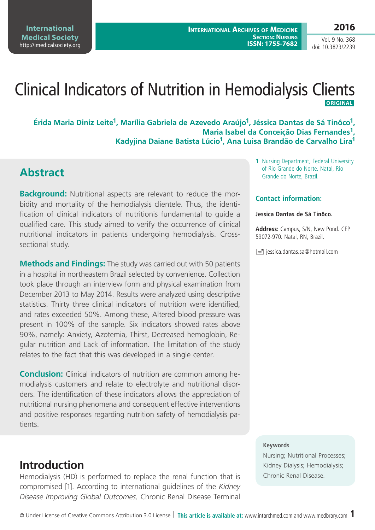**International Medical Society**  <http://imedicalsociety.org>

Vol. 9 No. 368 doi: 10.3823/2239

# Clinical Indicators of Nutrition in Hemodialysis Clients  **ORIGINAL**

**Érida Maria Diniz Leite1, Marília Gabriela de Azevedo Araújo1, Jéssica Dantas de Sá Tinôco1, Maria Isabel da Conceição Dias Fernandes1, Kadyjina Daiane Batista Lúcio1, Ana Luisa Brandão de Carvalho Lira1**

### **Abstract**

**Background:** Nutritional aspects are relevant to reduce the morbidity and mortality of the hemodialysis clientele. Thus, the identification of clinical indicators of nutritionis fundamental to guide a qualified care. This study aimed to verify the occurrence of clinical nutritional indicators in patients undergoing hemodialysis. Crosssectional study.

**Methods and Findings:** The study was carried out with 50 patients in a hospital in northeastern Brazil selected by convenience. Collection took place through an interview form and physical examination from December 2013 to May 2014. Results were analyzed using descriptive statistics. Thirty three clinical indicators of nutrition were identified, and rates exceeded 50%. Among these, Altered blood pressure was present in 100% of the sample. Six indicators showed rates above 90%, namely: Anxiety, Azotemia, Thirst, Decreased hemoglobin, Regular nutrition and Lack of information. The limitation of the study relates to the fact that this was developed in a single center.

**Conclusion:** Clinical indicators of nutrition are common among hemodialysis customers and relate to electrolyte and nutritional disorders. The identification of these indicators allows the appreciation of nutritional nursing phenomena and consequent effective interventions and positive responses regarding nutrition safety of hemodialysis patients.

**1** Nursing Department, Federal University of Rio Grande do Norte. Natal, Rio Grande do Norte, Brazil.

#### **Contact information:**

#### **Jessica Dantas de Sá Tinôco.**

**Address:** Campus, S/N, New Pond. CEP 59072-970. Natal, RN, Brazil.

 $\equiv$  jessica.dantas.sa@hotmail.com

#### **Keywords**

Nursing; Nutritional Processes; Kidney Dialysis; Hemodialysis; Chronic Renal Disease.

### **Introduction**

Hemodialysis (HD) is performed to replace the renal function that is compromised [1]. According to international guidelines of the *Kidney Disease Improving Global Outcomes,* Chronic Renal Disease Terminal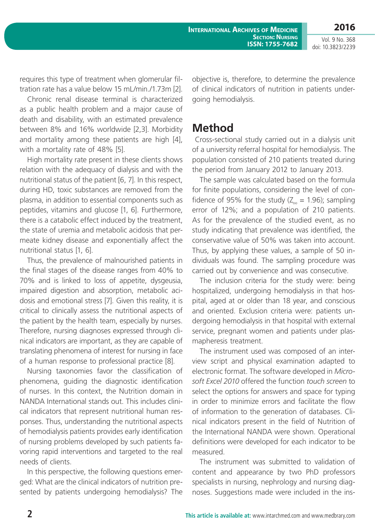**International Archives of Medicine SECTION: NURSING ISSN: 1755-7682** **2016**

Vol. 9 No. 368 doi: 10.3823/2239

requires this type of treatment when glomerular filtration rate has a value below 15 mL/min./1.73m [2].

Chronic renal disease terminal is characterized as a public health problem and a major cause of death and disability, with an estimated prevalence between 8% and 16% worldwide [2,3]. Morbidity and mortality among these patients are high [4], with a mortality rate of 48% [5].

High mortality rate present in these clients shows relation with the adequacy of dialysis and with the nutritional status of the patient [6, 7]. In this respect, during HD, toxic substances are removed from the plasma, in addition to essential components such as peptides, vitamins and glucose [1, 6]. Furthermore, there is a catabolic effect induced by the treatment, the state of uremia and metabolic acidosis that permeate kidney disease and exponentially affect the nutritional status [1, 6].

Thus, the prevalence of malnourished patients in the final stages of the disease ranges from 40% to 70% and is linked to loss of appetite, dysgeusia, impaired digestion and absorption, metabolic acidosis and emotional stress [7]. Given this reality, it is critical to clinically assess the nutritional aspects of the patient by the health team, especially by nurses. Therefore, nursing diagnoses expressed through clinical indicators are important, as they are capable of translating phenomena of interest for nursing in face of a human response to professional practice [8].

Nursing taxonomies favor the classification of phenomena, guiding the diagnostic identification of nurses. In this context, the Nutrition domain in NANDA International stands out. This includes clinical indicators that represent nutritional human responses. Thus, understanding the nutritional aspects of hemodialysis patients provides early identification of nursing problems developed by such patients favoring rapid interventions and targeted to the real needs of clients.

In this perspective, the following questions emerged: What are the clinical indicators of nutrition presented by patients undergoing hemodialysis? The objective is, therefore, to determine the prevalence of clinical indicators of nutrition in patients undergoing hemodialysis.

#### **Method**

 Cross-sectional study carried out in a dialysis unit of a university referral hospital for hemodialysis. The population consisted of 210 patients treated during the period from January 2012 to January 2013.

The sample was calculated based on the formula for finite populations, considering the level of confidence of 95% for the study ( $Z_{\infty}$  = 1.96); sampling error of 12%; and a population of 210 patients. As for the prevalence of the studied event, as no study indicating that prevalence was identified, the conservative value of 50% was taken into account. Thus, by applying these values, a sample of 50 individuals was found. The sampling procedure was carried out by convenience and was consecutive.

The inclusion criteria for the study were: being hospitalized, undergoing hemodialysis in that hospital, aged at or older than 18 year, and conscious and oriented. Exclusion criteria were: patients undergoing hemodialysis in that hospital with external service, pregnant women and patients under plasmapheresis treatment.

The instrument used was composed of an interview script and physical examination adapted to electronic format. The software developed in *Microsoft Excel 2010* offered the function *touch screen* to select the options for answers and space for typing in order to minimize errors and facilitate the flow of information to the generation of databases. Clinical indicators present in the field of Nutrition of the International NANDA were shown. Operational definitions were developed for each indicator to be measured.

The instrument was submitted to validation of content and appearance by two PhD professors specialists in nursing, nephrology and nursing diagnoses. Suggestions made were included in the ins-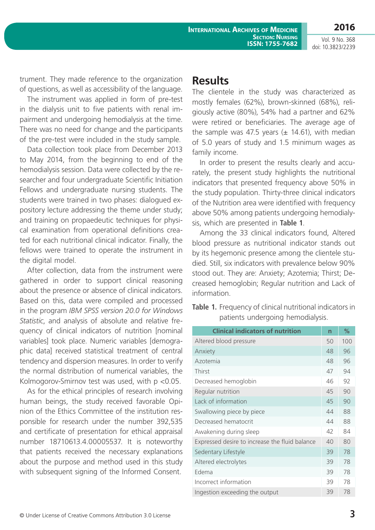Vol. 9 No. 368 doi: 10.3823/2239

**2016**

trument. They made reference to the organization of questions, as well as accessibility of the language.

The instrument was applied in form of pre-test in the dialysis unit to five patients with renal impairment and undergoing hemodialysis at the time. There was no need for change and the participants of the pre-test were included in the study sample.

Data collection took place from December 2013 to May 2014, from the beginning to end of the hemodialysis session. Data were collected by the researcher and four undergraduate Scientific Initiation Fellows and undergraduate nursing students. The students were trained in two phases: dialogued expository lecture addressing the theme under study; and training on propaedeutic techniques for physical examination from operational definitions created for each nutritional clinical indicator. Finally, the fellows were trained to operate the instrument in the digital model.

After collection, data from the instrument were gathered in order to support clinical reasoning about the presence or absence of clinical indicators. Based on this, data were compiled and processed in the program *IBM SPSS version 20.0 for Windows Statistic*, and analysis of absolute and relative frequency of clinical indicators of nutrition [nominal variables] took place. Numeric variables [demographic data] received statistical treatment of central tendency and dispersion measures. In order to verify the normal distribution of numerical variables, the Kolmogorov-Smirnov test was used, with p <0.05.

As for the ethical principles of research involving human beings, the study received favorable Opinion of the Ethics Committee of the institution responsible for research under the number 392,535 and certificate of presentation for ethical appraisal number 18710613.4.00005537. It is noteworthy that patients received the necessary explanations about the purpose and method used in this study with subsequent signing of the Informed Consent.

#### **Results**

The clientele in the study was characterized as mostly females (62%), brown-skinned (68%), religiously active (80%), 54% had a partner and 62% were retired or beneficiaries. The average age of the sample was 47.5 years ( $\pm$  14.61), with median of 5.0 years of study and 1.5 minimum wages as family income.

In order to present the results clearly and accurately, the present study highlights the nutritional indicators that presented frequency above 50% in the study population. Thirty-three clinical indicators of the Nutrition area were identified with frequency above 50% among patients undergoing hemodialysis, which are presented in **Table 1**.

Among the 33 clinical indicators found, Altered blood pressure as nutritional indicator stands out by its hegemonic presence among the clientele studied. Still, six indicators with prevalence below 90% stood out. They are: Anxiety; Azotemia; Thirst; Decreased hemoglobin; Regular nutrition and Lack of information.

**Table 1.** Frequency of clinical nutritional indicators in patients undergoing hemodialysis.

| <b>Clinical indicators of nutrition</b>        | n  | ℅   |
|------------------------------------------------|----|-----|
| Altered blood pressure                         | 50 | 100 |
| Anxiety                                        | 48 | 96  |
| Azotemia                                       | 48 | 96  |
| Thirst                                         | 47 | 94  |
| Decreased hemoglobin                           | 46 | 92  |
| Regular nutrition                              | 45 | 90  |
| Lack of information                            | 45 | 90  |
| Swallowing piece by piece                      | 44 | 88  |
| Decreased hematocrit                           | 44 | 88  |
| Awakening during sleep                         | 42 | 84  |
| Expressed desire to increase the fluid balance | 40 | 80  |
| Sedentary Lifestyle                            | 39 | 78  |
| Altered electrolytes                           | 39 | 78  |
| Edema                                          | 39 | 78  |
| Incorrect information                          | 39 | 78  |
| Ingestion exceeding the output                 | 39 | 78  |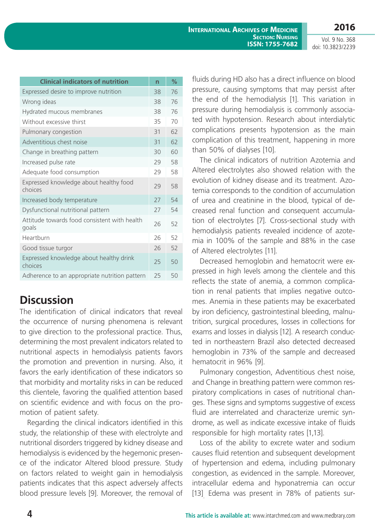Vol. 9 No. 368 doi: 10.3823/2239

| <b>Clinical indicators of nutrition</b>               | $\overline{n}$ | $\%$ |
|-------------------------------------------------------|----------------|------|
| Expressed desire to improve nutrition                 | 38             | 76   |
| Wrong ideas                                           | 38             | 76   |
| Hydrated mucous membranes                             | 38             | 76   |
| Without excessive thirst                              | 35             | 70   |
| Pulmonary congestion                                  | 31             | 62   |
| Adventitious chest noise                              | 31             | 62   |
| Change in breathing pattern                           | 30             | 60   |
| Increased pulse rate                                  | 29             | 58   |
| Adequate food consumption                             | 29             | 58   |
| Expressed knowledge about healthy food<br>choices     | 29             | 58   |
| Increased body temperature                            | 27             | 54   |
| Dysfunctional nutritional pattern                     | 27             | 54   |
| Attitude towards food consistent with health<br>goals | 26             | 52   |
| Heartburn                                             | 26             | 52   |
| Good tissue turgor                                    | 26             | 52   |
| Expressed knowledge about healthy drink<br>choices    | 25             | 50   |
| Adherence to an appropriate nutrition pattern         | 25             | 50   |

# **Discussion**

The identification of clinical indicators that reveal the occurrence of nursing phenomena is relevant to give direction to the professional practice. Thus, determining the most prevalent indicators related to nutritional aspects in hemodialysis patients favors the promotion and prevention in nursing. Also, it favors the early identification of these indicators so that morbidity and mortality risks in can be reduced this clientele, favoring the qualified attention based on scientific evidence and with focus on the promotion of patient safety.

Regarding the clinical indicators identified in this study, the relationship of these with electrolyte and nutritional disorders triggered by kidney disease and hemodialysis is evidenced by the hegemonic presence of the indicator Altered blood pressure. Study on factors related to weight gain in hemodialysis patients indicates that this aspect adversely affects blood pressure levels [9]. Moreover, the removal of

fluids during HD also has a direct influence on blood pressure, causing symptoms that may persist after the end of the hemodialysis [1]. This variation in pressure during hemodialysis is commonly associated with hypotension. Research about interdialytic complications presents hypotension as the main complication of this treatment, happening in more than 50% of dialyses [10].

The clinical indicators of nutrition Azotemia and Altered electrolytes also showed relation with the evolution of kidney disease and its treatment. Azotemia corresponds to the condition of accumulation of urea and creatinine in the blood, typical of decreased renal function and consequent accumulation of electrolytes [7]. Cross-sectional study with hemodialysis patients revealed incidence of azotemia in 100% of the sample and 88% in the case of Altered electrolytes [11].

Decreased hemoglobin and hematocrit were expressed in high levels among the clientele and this reflects the state of anemia, a common complication in renal patients that implies negative outcomes. Anemia in these patients may be exacerbated by iron deficiency, gastrointestinal bleeding, malnutrition, surgical procedures, losses in collections for exams and losses in dialysis [12]. A research conducted in northeastern Brazil also detected decreased hemoglobin in 73% of the sample and decreased hematocrit in 96% [9].

Pulmonary congestion, Adventitious chest noise, and Change in breathing pattern were common respiratory complications in cases of nutritional changes. These signs and symptoms suggestive of excess fluid are interrelated and characterize uremic syndrome, as well as indicate excessive intake of fluids responsible for high mortality rates [1,13].

Loss of the ability to excrete water and sodium causes fluid retention and subsequent development of hypertension and edema, including pulmonary congestion, as evidenced in the sample. Moreover, intracellular edema and hyponatremia can occur [13]. Edema was present in 78% of patients sur-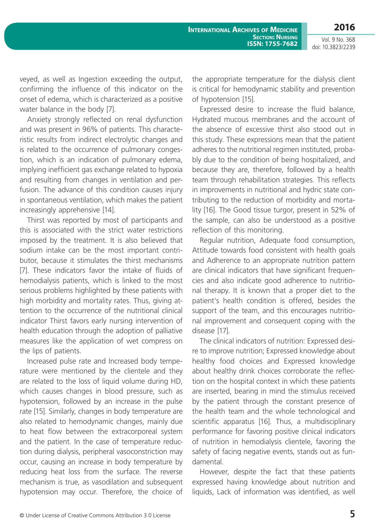**2016**

Vol. 9 No. 368 doi: 10.3823/2239

veyed, as well as Ingestion exceeding the output, confirming the influence of this indicator on the onset of edema, which is characterized as a positive water balance in the body [7].

Anxiety strongly reflected on renal dysfunction and was present in 96% of patients. This characteristic results from indirect electrolytic changes and is related to the occurrence of pulmonary congestion, which is an indication of pulmonary edema, implying inefficient gas exchange related to hypoxia and resulting from changes in ventilation and perfusion. The advance of this condition causes injury in spontaneous ventilation, which makes the patient increasingly apprehensive [14].

Thirst was reported by most of participants and this is associated with the strict water restrictions imposed by the treatment. It is also believed that sodium intake can be the most important contributor, because it stimulates the thirst mechanisms [7]. These indicators favor the intake of fluids of hemodialysis patients, which is linked to the most serious problems highlighted by these patients with high morbidity and mortality rates. Thus, giving attention to the occurrence of the nutritional clinical indicator Thirst favors early nursing intervention of health education through the adoption of palliative measures like the application of wet compress on the lips of patients.

Increased pulse rate and Increased body temperature were mentioned by the clientele and they are related to the loss of liquid volume during HD, which causes changes in blood pressure, such as hypotension, followed by an increase in the pulse rate [15]. Similarly, changes in body temperature are also related to hemodynamic changes, mainly due to heat flow between the extracorporeal system and the patient. In the case of temperature reduction during dialysis, peripheral vasoconstriction may occur, causing an increase in body temperature by reducing heat loss from the surface. The reverse mechanism is true, as vasodilation and subsequent hypotension may occur. Therefore, the choice of the appropriate temperature for the dialysis client is critical for hemodynamic stability and prevention of hypotension [15].

Expressed desire to increase the fluid balance, Hydrated mucous membranes and the account of the absence of excessive thirst also stood out in this study. These expressions mean that the patient adheres to the nutritional regimen instituted, probably due to the condition of being hospitalized, and because they are, therefore, followed by a health team through rehabilitation strategies. This reflects in improvements in nutritional and hydric state contributing to the reduction of morbidity and mortality [16]. The Good tissue turgor, present in 52% of the sample, can also be understood as a positive reflection of this monitoring.

Regular nutrition, Adequate food consumption, Attitude towards food consistent with health goals and Adherence to an appropriate nutrition pattern are clinical indicators that have significant frequencies and also indicate good adherence to nutritional therapy. It is known that a proper diet to the patient's health condition is offered, besides the support of the team, and this encourages nutritional improvement and consequent coping with the disease [17].

The clinical indicators of nutrition: Expressed desire to improve nutrition; Expressed knowledge about healthy food choices and Expressed knowledge about healthy drink choices corroborate the reflection on the hospital context in which these patients are inserted, bearing in mind the stimulus received by the patient through the constant presence of the health team and the whole technological and scientific apparatus [16]. Thus, a multidisciplinary performance for favoring positive clinical indicators of nutrition in hemodialysis clientele, favoring the safety of facing negative events, stands out as fundamental.

However, despite the fact that these patients expressed having knowledge about nutrition and liquids, Lack of information was identified, as well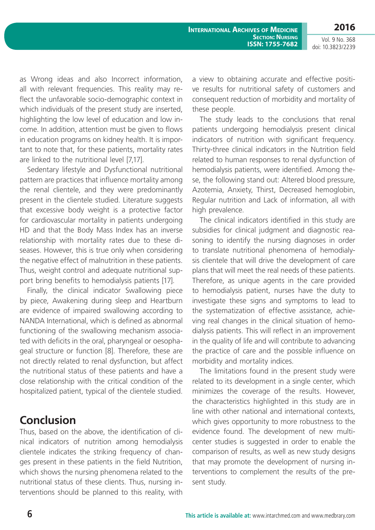**2016**

Vol. 9 No. 368 doi: 10.3823/2239

as Wrong ideas and also Incorrect information, all with relevant frequencies. This reality may reflect the unfavorable socio-demographic context in which individuals of the present study are inserted, highlighting the low level of education and low income. In addition, attention must be given to flows in education programs on kidney health. It is important to note that, for these patients, mortality rates are linked to the nutritional level [7,17].

Sedentary lifestyle and Dysfunctional nutritional pattern are practices that influence mortality among the renal clientele, and they were predominantly present in the clientele studied. Literature suggests that excessive body weight is a protective factor for cardiovascular mortality in patients undergoing HD and that the Body Mass Index has an inverse relationship with mortality rates due to these diseases. However, this is true only when considering the negative effect of malnutrition in these patients. Thus, weight control and adequate nutritional support bring benefits to hemodialysis patients [17].

Finally, the clinical indicator Swallowing piece by piece, Awakening during sleep and Heartburn are evidence of impaired swallowing according to NANDA International, which is defined as abnormal functioning of the swallowing mechanism associated with deficits in the oral, pharyngeal or oesophageal structure or function [8]. Therefore, these are not directly related to renal dysfunction, but affect the nutritional status of these patients and have a close relationship with the critical condition of the hospitalized patient, typical of the clientele studied.

## **Conclusion**

Thus, based on the above, the identification of clinical indicators of nutrition among hemodialysis clientele indicates the striking frequency of changes present in these patients in the field Nutrition, which shows the nursing phenomena related to the nutritional status of these clients. Thus, nursing interventions should be planned to this reality, with a view to obtaining accurate and effective positive results for nutritional safety of customers and consequent reduction of morbidity and mortality of these people.

The study leads to the conclusions that renal patients undergoing hemodialysis present clinical indicators of nutrition with significant frequency. Thirty-three clinical indicators in the Nutrition field related to human responses to renal dysfunction of hemodialysis patients, were identified. Among these, the following stand out: Altered blood pressure, Azotemia, Anxiety, Thirst, Decreased hemoglobin, Regular nutrition and Lack of information, all with high prevalence.

The clinical indicators identified in this study are subsidies for clinical judgment and diagnostic reasoning to identify the nursing diagnoses in order to translate nutritional phenomena of hemodialysis clientele that will drive the development of care plans that will meet the real needs of these patients. Therefore, as unique agents in the care provided to hemodialysis patient, nurses have the duty to investigate these signs and symptoms to lead to the systematization of effective assistance, achieving real changes in the clinical situation of hemodialysis patients. This will reflect in an improvement in the quality of life and will contribute to advancing the practice of care and the possible influence on morbidity and mortality indices.

The limitations found in the present study were related to its development in a single center, which minimizes the coverage of the results. However, the characteristics highlighted in this study are in line with other national and international contexts, which gives opportunity to more robustness to the evidence found. The development of new multicenter studies is suggested in order to enable the comparison of results, as well as new study designs that may promote the development of nursing interventions to complement the results of the present study.